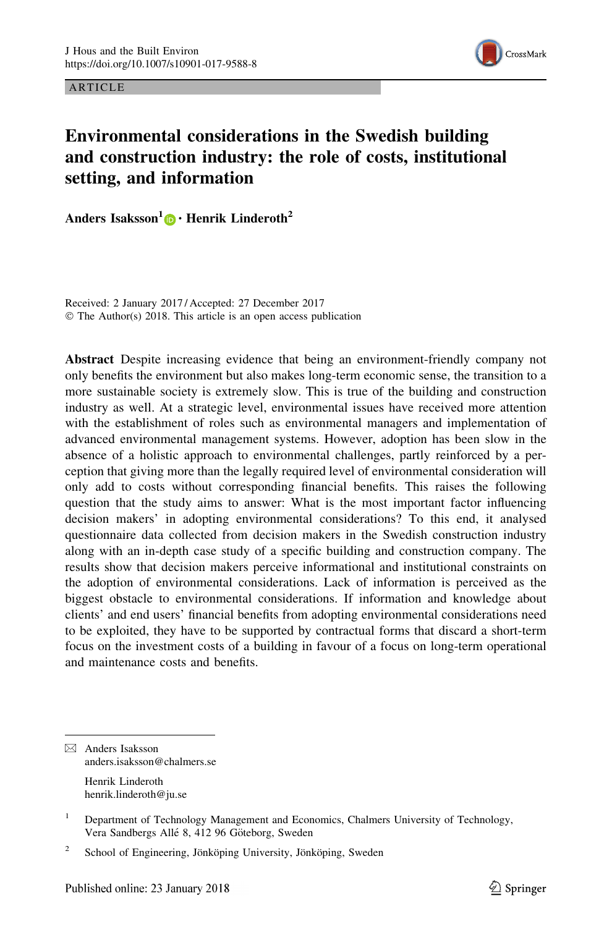ARTICLE



# Environmental considerations in the Swedish building and construction industry: the role of costs, institutional setting, and information

Anders Isaksson<sup>1</sup> $\odot$  **· Henrik Linderoth**<sup>2</sup>

Received: 2 January 2017 / Accepted: 27 December 2017 © The Author(s) 2018. This article is an open access publication

Abstract Despite increasing evidence that being an environment-friendly company not only benefits the environment but also makes long-term economic sense, the transition to a more sustainable society is extremely slow. This is true of the building and construction industry as well. At a strategic level, environmental issues have received more attention with the establishment of roles such as environmental managers and implementation of advanced environmental management systems. However, adoption has been slow in the absence of a holistic approach to environmental challenges, partly reinforced by a perception that giving more than the legally required level of environmental consideration will only add to costs without corresponding financial benefits. This raises the following question that the study aims to answer: What is the most important factor influencing decision makers' in adopting environmental considerations? To this end, it analysed questionnaire data collected from decision makers in the Swedish construction industry along with an in-depth case study of a specific building and construction company. The results show that decision makers perceive informational and institutional constraints on the adoption of environmental considerations. Lack of information is perceived as the biggest obstacle to environmental considerations. If information and knowledge about clients' and end users' financial benefits from adopting environmental considerations need to be exploited, they have to be supported by contractual forms that discard a short-term focus on the investment costs of a building in favour of a focus on long-term operational and maintenance costs and benefits.

Henrik Linderoth henrik.linderoth@ju.se

<sup>&</sup>amp; Anders Isaksson anders.isaksson@chalmers.se

<sup>&</sup>lt;sup>1</sup> Department of Technology Management and Economics, Chalmers University of Technology, Vera Sandbergs Allé 8, 412 96 Göteborg, Sweden

<sup>&</sup>lt;sup>2</sup> School of Engineering, Jönköping University, Jönköping, Sweden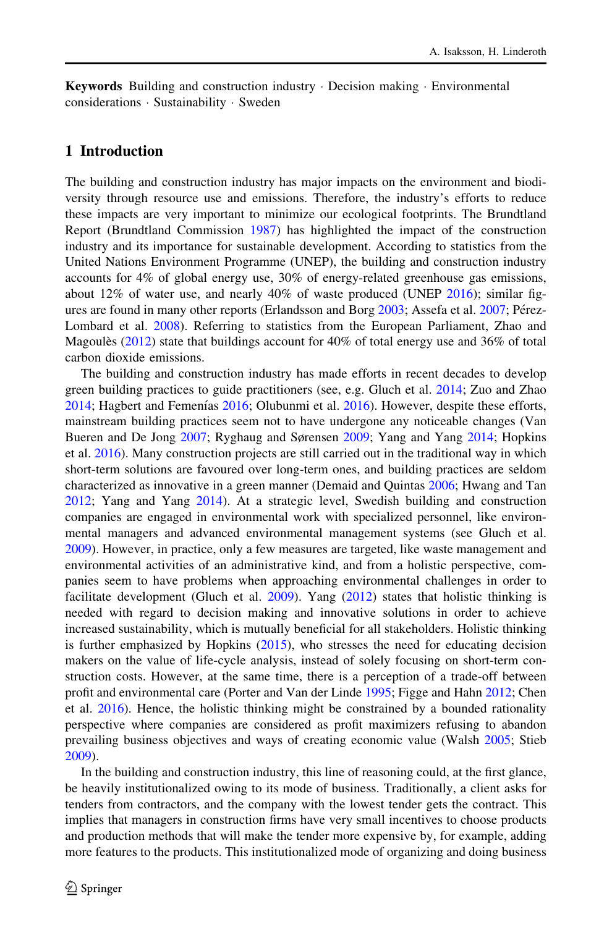Keywords Building and construction industry - Decision making - Environmental considerations - Sustainability - Sweden

### 1 Introduction

The building and construction industry has major impacts on the environment and biodiversity through resource use and emissions. Therefore, the industry's efforts to reduce these impacts are very important to minimize our ecological footprints. The Brundtland Report (Brundtland Commission [1987\)](#page-15-0) has highlighted the impact of the construction industry and its importance for sustainable development. According to statistics from the United Nations Environment Programme (UNEP), the building and construction industry accounts for 4% of global energy use, 30% of energy-related greenhouse gas emissions, about 12% of water use, and nearly 40% of waste produced (UNEP [2016\)](#page-17-0); similar fig-ures are found in many other reports (Erlandsson and Borg [2003;](#page-16-0) Assefa et al. [2007](#page-15-0); Pérez-Lombard et al. [2008](#page-16-0)). Referring to statistics from the European Parliament, Zhao and Magoules ([2012\)](#page-17-0) state that buildings account for  $40\%$  of total energy use and 36% of total carbon dioxide emissions.

The building and construction industry has made efforts in recent decades to develop green building practices to guide practitioners (see, e.g. Gluch et al. [2014](#page-16-0); Zuo and Zhao [2014;](#page-17-0) Hagbert and Femenías [2016;](#page-16-0) Olubunmi et al. [2016\)](#page-16-0). However, despite these efforts, mainstream building practices seem not to have undergone any noticeable changes (Van Bueren and De Jong [2007;](#page-17-0) Ryghaug and Sørensen [2009;](#page-17-0) Yang and Yang [2014;](#page-17-0) Hopkins et al. [2016\)](#page-16-0). Many construction projects are still carried out in the traditional way in which short-term solutions are favoured over long-term ones, and building practices are seldom characterized as innovative in a green manner (Demaid and Quintas [2006;](#page-15-0) Hwang and Tan [2012;](#page-16-0) Yang and Yang [2014\)](#page-17-0). At a strategic level, Swedish building and construction companies are engaged in environmental work with specialized personnel, like environmental managers and advanced environmental management systems (see Gluch et al. [2009\)](#page-16-0). However, in practice, only a few measures are targeted, like waste management and environmental activities of an administrative kind, and from a holistic perspective, companies seem to have problems when approaching environmental challenges in order to facilitate development (Gluch et al. [2009](#page-16-0)). Yang ([2012\)](#page-17-0) states that holistic thinking is needed with regard to decision making and innovative solutions in order to achieve increased sustainability, which is mutually beneficial for all stakeholders. Holistic thinking is further emphasized by Hopkins [\(2015](#page-16-0)), who stresses the need for educating decision makers on the value of life-cycle analysis, instead of solely focusing on short-term construction costs. However, at the same time, there is a perception of a trade-off between profit and environmental care (Porter and Van der Linde [1995](#page-16-0); Figge and Hahn [2012;](#page-16-0) Chen et al. [2016](#page-15-0)). Hence, the holistic thinking might be constrained by a bounded rationality perspective where companies are considered as profit maximizers refusing to abandon prevailing business objectives and ways of creating economic value (Walsh [2005;](#page-17-0) Stieb [2009\)](#page-17-0).

In the building and construction industry, this line of reasoning could, at the first glance, be heavily institutionalized owing to its mode of business. Traditionally, a client asks for tenders from contractors, and the company with the lowest tender gets the contract. This implies that managers in construction firms have very small incentives to choose products and production methods that will make the tender more expensive by, for example, adding more features to the products. This institutionalized mode of organizing and doing business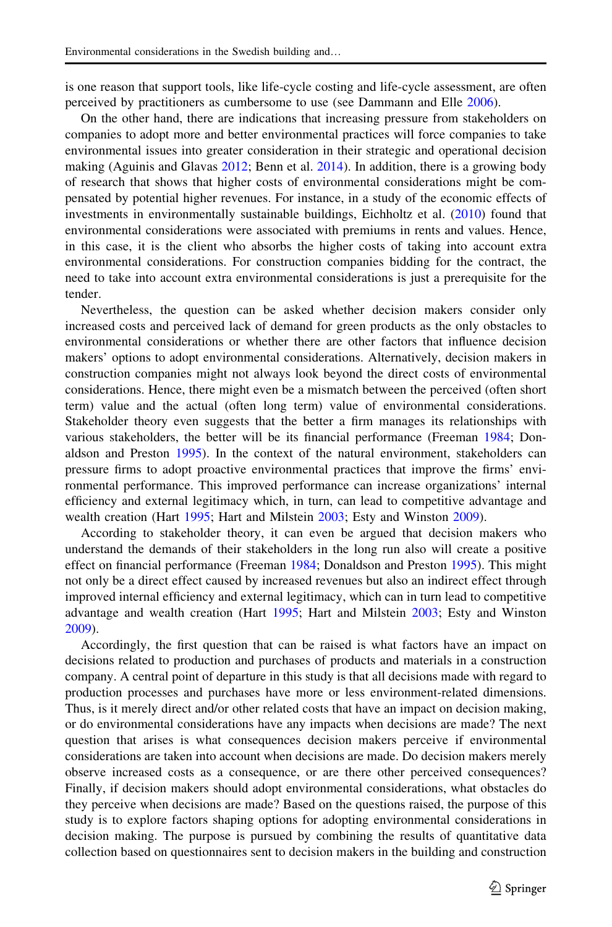is one reason that support tools, like life-cycle costing and life-cycle assessment, are often perceived by practitioners as cumbersome to use (see Dammann and Elle [2006\)](#page-15-0).

On the other hand, there are indications that increasing pressure from stakeholders on companies to adopt more and better environmental practices will force companies to take environmental issues into greater consideration in their strategic and operational decision making (Aguinis and Glavas [2012](#page-15-0); Benn et al. [2014\)](#page-15-0). In addition, there is a growing body of research that shows that higher costs of environmental considerations might be compensated by potential higher revenues. For instance, in a study of the economic effects of investments in environmentally sustainable buildings, Eichholtz et al. ([2010\)](#page-16-0) found that environmental considerations were associated with premiums in rents and values. Hence, in this case, it is the client who absorbs the higher costs of taking into account extra environmental considerations. For construction companies bidding for the contract, the need to take into account extra environmental considerations is just a prerequisite for the tender.

Nevertheless, the question can be asked whether decision makers consider only increased costs and perceived lack of demand for green products as the only obstacles to environmental considerations or whether there are other factors that influence decision makers' options to adopt environmental considerations. Alternatively, decision makers in construction companies might not always look beyond the direct costs of environmental considerations. Hence, there might even be a mismatch between the perceived (often short term) value and the actual (often long term) value of environmental considerations. Stakeholder theory even suggests that the better a firm manages its relationships with various stakeholders, the better will be its financial performance (Freeman [1984;](#page-16-0) Donaldson and Preston [1995](#page-15-0)). In the context of the natural environment, stakeholders can pressure firms to adopt proactive environmental practices that improve the firms' environmental performance. This improved performance can increase organizations' internal efficiency and external legitimacy which, in turn, can lead to competitive advantage and wealth creation (Hart [1995](#page-16-0); Hart and Milstein [2003;](#page-16-0) Esty and Winston [2009](#page-16-0)).

According to stakeholder theory, it can even be argued that decision makers who understand the demands of their stakeholders in the long run also will create a positive effect on financial performance (Freeman [1984](#page-16-0); Donaldson and Preston [1995\)](#page-15-0). This might not only be a direct effect caused by increased revenues but also an indirect effect through improved internal efficiency and external legitimacy, which can in turn lead to competitive advantage and wealth creation (Hart [1995;](#page-16-0) Hart and Milstein [2003;](#page-16-0) Esty and Winston [2009\)](#page-16-0).

Accordingly, the first question that can be raised is what factors have an impact on decisions related to production and purchases of products and materials in a construction company. A central point of departure in this study is that all decisions made with regard to production processes and purchases have more or less environment-related dimensions. Thus, is it merely direct and/or other related costs that have an impact on decision making, or do environmental considerations have any impacts when decisions are made? The next question that arises is what consequences decision makers perceive if environmental considerations are taken into account when decisions are made. Do decision makers merely observe increased costs as a consequence, or are there other perceived consequences? Finally, if decision makers should adopt environmental considerations, what obstacles do they perceive when decisions are made? Based on the questions raised, the purpose of this study is to explore factors shaping options for adopting environmental considerations in decision making. The purpose is pursued by combining the results of quantitative data collection based on questionnaires sent to decision makers in the building and construction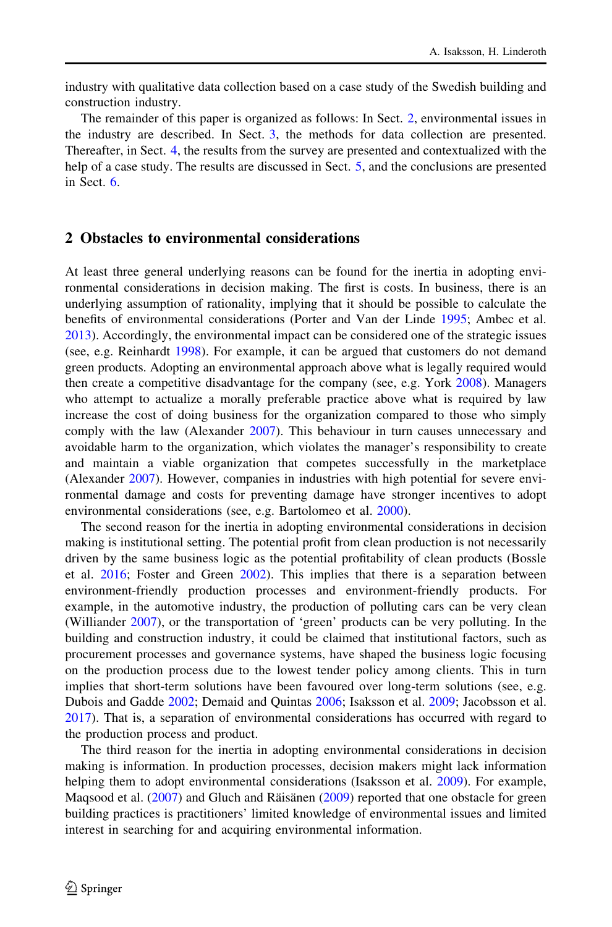industry with qualitative data collection based on a case study of the Swedish building and construction industry.

The remainder of this paper is organized as follows: In Sect. 2, environmental issues in the industry are described. In Sect. [3](#page-4-0), the methods for data collection are presented. Thereafter, in Sect. [4](#page-7-0), the results from the survey are presented and contextualized with the help of a case study. The results are discussed in Sect. [5](#page-13-0), and the conclusions are presented in Sect. [6.](#page-14-0)

#### 2 Obstacles to environmental considerations

At least three general underlying reasons can be found for the inertia in adopting environmental considerations in decision making. The first is costs. In business, there is an underlying assumption of rationality, implying that it should be possible to calculate the benefits of environmental considerations (Porter and Van der Linde [1995;](#page-16-0) Ambec et al. [2013\)](#page-15-0). Accordingly, the environmental impact can be considered one of the strategic issues (see, e.g. Reinhardt [1998\)](#page-16-0). For example, it can be argued that customers do not demand green products. Adopting an environmental approach above what is legally required would then create a competitive disadvantage for the company (see, e.g. York [2008\)](#page-17-0). Managers who attempt to actualize a morally preferable practice above what is required by law increase the cost of doing business for the organization compared to those who simply comply with the law (Alexander [2007](#page-15-0)). This behaviour in turn causes unnecessary and avoidable harm to the organization, which violates the manager's responsibility to create and maintain a viable organization that competes successfully in the marketplace (Alexander [2007\)](#page-15-0). However, companies in industries with high potential for severe environmental damage and costs for preventing damage have stronger incentives to adopt environmental considerations (see, e.g. Bartolomeo et al. [2000\)](#page-15-0).

The second reason for the inertia in adopting environmental considerations in decision making is institutional setting. The potential profit from clean production is not necessarily driven by the same business logic as the potential profitability of clean products (Bossle et al. [2016;](#page-15-0) Foster and Green [2002](#page-16-0)). This implies that there is a separation between environment-friendly production processes and environment-friendly products. For example, in the automotive industry, the production of polluting cars can be very clean (Williander [2007\)](#page-17-0), or the transportation of 'green' products can be very polluting. In the building and construction industry, it could be claimed that institutional factors, such as procurement processes and governance systems, have shaped the business logic focusing on the production process due to the lowest tender policy among clients. This in turn implies that short-term solutions have been favoured over long-term solutions (see, e.g. Dubois and Gadde [2002;](#page-16-0) Demaid and Quintas [2006;](#page-15-0) Isaksson et al. [2009](#page-16-0); Jacobsson et al. [2017\)](#page-16-0). That is, a separation of environmental considerations has occurred with regard to the production process and product.

The third reason for the inertia in adopting environmental considerations in decision making is information. In production processes, decision makers might lack information helping them to adopt environmental considerations (Isaksson et al. [2009\)](#page-16-0). For example, Maqsood et al.  $(2007)$  $(2007)$  and Gluch and Räisänen  $(2009)$  $(2009)$  reported that one obstacle for green building practices is practitioners' limited knowledge of environmental issues and limited interest in searching for and acquiring environmental information.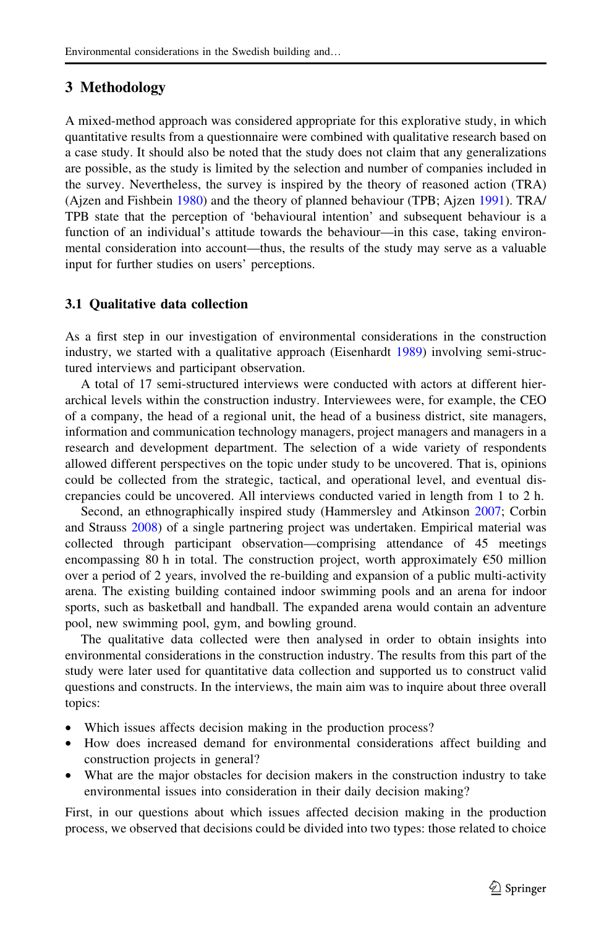# <span id="page-4-0"></span>3 Methodology

A mixed-method approach was considered appropriate for this explorative study, in which quantitative results from a questionnaire were combined with qualitative research based on a case study. It should also be noted that the study does not claim that any generalizations are possible, as the study is limited by the selection and number of companies included in the survey. Nevertheless, the survey is inspired by the theory of reasoned action (TRA) (Ajzen and Fishbein [1980\)](#page-15-0) and the theory of planned behaviour (TPB; Ajzen [1991\)](#page-15-0). TRA/ TPB state that the perception of 'behavioural intention' and subsequent behaviour is a function of an individual's attitude towards the behaviour—in this case, taking environmental consideration into account—thus, the results of the study may serve as a valuable input for further studies on users' perceptions.

### 3.1 Qualitative data collection

As a first step in our investigation of environmental considerations in the construction industry, we started with a qualitative approach (Eisenhardt [1989](#page-16-0)) involving semi-structured interviews and participant observation.

A total of 17 semi-structured interviews were conducted with actors at different hierarchical levels within the construction industry. Interviewees were, for example, the CEO of a company, the head of a regional unit, the head of a business district, site managers, information and communication technology managers, project managers and managers in a research and development department. The selection of a wide variety of respondents allowed different perspectives on the topic under study to be uncovered. That is, opinions could be collected from the strategic, tactical, and operational level, and eventual discrepancies could be uncovered. All interviews conducted varied in length from 1 to 2 h.

Second, an ethnographically inspired study (Hammersley and Atkinson [2007](#page-16-0); Corbin and Strauss [2008](#page-15-0)) of a single partnering project was undertaken. Empirical material was collected through participant observation—comprising attendance of 45 meetings encompassing 80 h in total. The construction project, worth approximately  $\epsilon$ 50 million over a period of 2 years, involved the re-building and expansion of a public multi-activity arena. The existing building contained indoor swimming pools and an arena for indoor sports, such as basketball and handball. The expanded arena would contain an adventure pool, new swimming pool, gym, and bowling ground.

The qualitative data collected were then analysed in order to obtain insights into environmental considerations in the construction industry. The results from this part of the study were later used for quantitative data collection and supported us to construct valid questions and constructs. In the interviews, the main aim was to inquire about three overall topics:

- Which issues affects decision making in the production process?
- How does increased demand for environmental considerations affect building and construction projects in general?
- What are the major obstacles for decision makers in the construction industry to take environmental issues into consideration in their daily decision making?

First, in our questions about which issues affected decision making in the production process, we observed that decisions could be divided into two types: those related to choice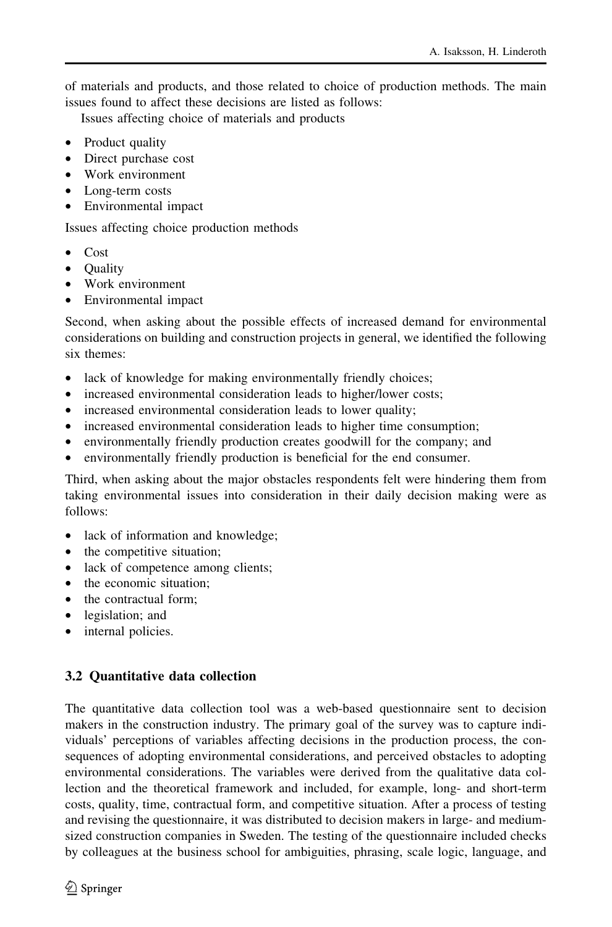of materials and products, and those related to choice of production methods. The main issues found to affect these decisions are listed as follows:

Issues affecting choice of materials and products

- Product quality
- Direct purchase cost
- Work environment
- Long-term costs
- Environmental impact

Issues affecting choice production methods

- Cost
- Quality
- Work environment
- Environmental impact

Second, when asking about the possible effects of increased demand for environmental considerations on building and construction projects in general, we identified the following six themes:

- lack of knowledge for making environmentally friendly choices;
- increased environmental consideration leads to higher/lower costs;
- increased environmental consideration leads to lower quality;
- increased environmental consideration leads to higher time consumption;
- environmentally friendly production creates goodwill for the company; and
- environmentally friendly production is beneficial for the end consumer.

Third, when asking about the major obstacles respondents felt were hindering them from taking environmental issues into consideration in their daily decision making were as follows:

- lack of information and knowledge;
- the competitive situation;
- lack of competence among clients;
- the economic situation:
- the contractual form:
- legislation; and
- internal policies.

# 3.2 Quantitative data collection

The quantitative data collection tool was a web-based questionnaire sent to decision makers in the construction industry. The primary goal of the survey was to capture individuals' perceptions of variables affecting decisions in the production process, the consequences of adopting environmental considerations, and perceived obstacles to adopting environmental considerations. The variables were derived from the qualitative data collection and the theoretical framework and included, for example, long- and short-term costs, quality, time, contractual form, and competitive situation. After a process of testing and revising the questionnaire, it was distributed to decision makers in large- and mediumsized construction companies in Sweden. The testing of the questionnaire included checks by colleagues at the business school for ambiguities, phrasing, scale logic, language, and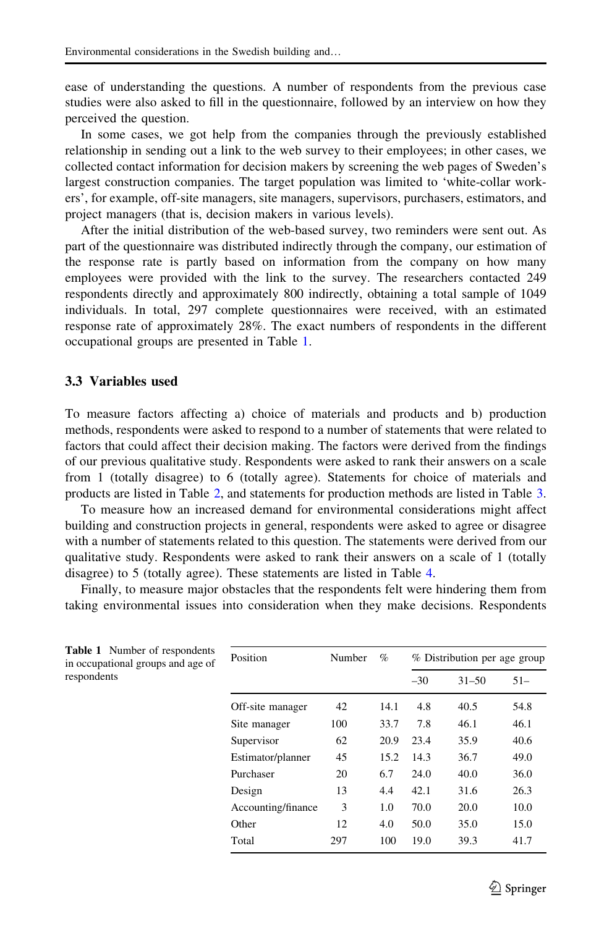ease of understanding the questions. A number of respondents from the previous case studies were also asked to fill in the questionnaire, followed by an interview on how they perceived the question.

In some cases, we got help from the companies through the previously established relationship in sending out a link to the web survey to their employees; in other cases, we collected contact information for decision makers by screening the web pages of Sweden's largest construction companies. The target population was limited to 'white-collar workers', for example, off-site managers, site managers, supervisors, purchasers, estimators, and project managers (that is, decision makers in various levels).

After the initial distribution of the web-based survey, two reminders were sent out. As part of the questionnaire was distributed indirectly through the company, our estimation of the response rate is partly based on information from the company on how many employees were provided with the link to the survey. The researchers contacted 249 respondents directly and approximately 800 indirectly, obtaining a total sample of 1049 individuals. In total, 297 complete questionnaires were received, with an estimated response rate of approximately 28%. The exact numbers of respondents in the different occupational groups are presented in Table 1.

#### 3.3 Variables used

To measure factors affecting a) choice of materials and products and b) production methods, respondents were asked to respond to a number of statements that were related to factors that could affect their decision making. The factors were derived from the findings of our previous qualitative study. Respondents were asked to rank their answers on a scale from 1 (totally disagree) to 6 (totally agree). Statements for choice of materials and products are listed in Table [2](#page-7-0), and statements for production methods are listed in Table [3](#page-8-0).

To measure how an increased demand for environmental considerations might affect building and construction projects in general, respondents were asked to agree or disagree with a number of statements related to this question. The statements were derived from our qualitative study. Respondents were asked to rank their answers on a scale of 1 (totally disagree) to 5 (totally agree). These statements are listed in Table [4.](#page-9-0)

Finally, to measure major obstacles that the respondents felt were hindering them from taking environmental issues into consideration when they make decisions. Respondents

| Position           | Number | $\%$ |       | % Distribution per age group |        |
|--------------------|--------|------|-------|------------------------------|--------|
|                    |        |      | $-30$ | $31 - 50$                    | $51 -$ |
| Off-site manager   | 42     | 14.1 | 4.8   | 40.5                         | 54.8   |
| Site manager       | 100    | 33.7 | 7.8   | 46.1                         | 46.1   |
| Supervisor         | 62     | 20.9 | 23.4  | 35.9                         | 40.6   |
| Estimator/planner  | 45     | 15.2 | 14.3  | 36.7                         | 49.0   |
| Purchaser          | 20     | 6.7  | 24.0  | 40.0                         | 36.0   |
| Design             | 13     | 4.4  | 42.1  | 31.6                         | 26.3   |
| Accounting/finance | 3      | 1.0  | 70.0  | 20.0                         | 10.0   |
| Other              | 12     | 4.0  | 50.0  | 35.0                         | 15.0   |
| Total              | 297    | 100  | 19.0  | 39.3                         | 41.7   |
|                    |        |      |       |                              |        |

Table 1 Number of respondents in occupational groups and age of respondents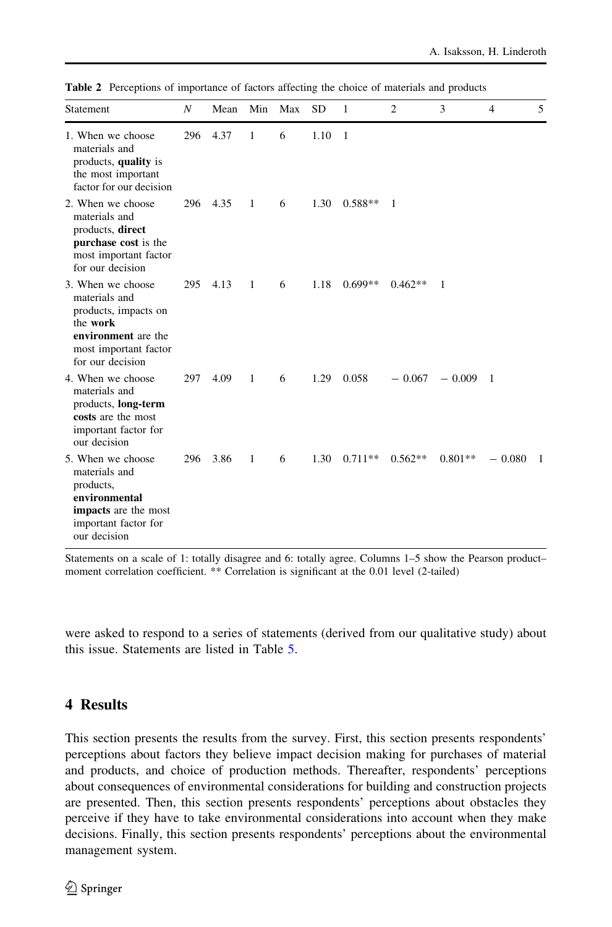| Statement                                                                                                                                  | $\overline{N}$ | Mean     | Min          | Max | <b>SD</b> | 1         | 2         | 3          | $\overline{4}$ | 5              |
|--------------------------------------------------------------------------------------------------------------------------------------------|----------------|----------|--------------|-----|-----------|-----------|-----------|------------|----------------|----------------|
| 1. When we choose<br>materials and<br>products, quality is<br>the most important<br>factor for our decision                                | 296            | 4.37     | $\mathbf{1}$ | 6   | 1.10      | 1         |           |            |                |                |
| 2. When we choose<br>materials and<br>products, direct<br>purchase cost is the<br>most important factor<br>for our decision                |                | 296 4.35 | $\mathbf{1}$ | 6   | 1.30      | $0.588**$ | -1        |            |                |                |
| 3. When we choose<br>materials and<br>products, impacts on<br>the work<br>environment are the<br>most important factor<br>for our decision | 295            | 4.13     | $\mathbf{1}$ | 6   | 1.18      | $0.699**$ | $0.462**$ | 1          |                |                |
| 4. When we choose<br>materials and<br>products, long-term<br>costs are the most<br>important factor for<br>our decision                    | 297            | 4.09     | $\mathbf{1}$ | 6   | 1.29      | 0.058     | $-0.067$  | $-0.009$ 1 |                |                |
| 5. When we choose<br>materials and<br>products,<br>environmental<br>impacts are the most<br>important factor for<br>our decision           | 296            | 3.86     | $\mathbf{1}$ | 6   | 1.30      | $0.711**$ | $0.562**$ | $0.801**$  | $-0.080$       | $\overline{1}$ |

<span id="page-7-0"></span>Table 2 Perceptions of importance of factors affecting the choice of materials and products

Statements on a scale of 1: totally disagree and 6: totally agree. Columns 1–5 show the Pearson product– moment correlation coefficient. \*\* Correlation is significant at the 0.01 level (2-tailed)

were asked to respond to a series of statements (derived from our qualitative study) about this issue. Statements are listed in Table [5.](#page-10-0)

### 4 Results

This section presents the results from the survey. First, this section presents respondents' perceptions about factors they believe impact decision making for purchases of material and products, and choice of production methods. Thereafter, respondents' perceptions about consequences of environmental considerations for building and construction projects are presented. Then, this section presents respondents' perceptions about obstacles they perceive if they have to take environmental considerations into account when they make decisions. Finally, this section presents respondents' perceptions about the environmental management system.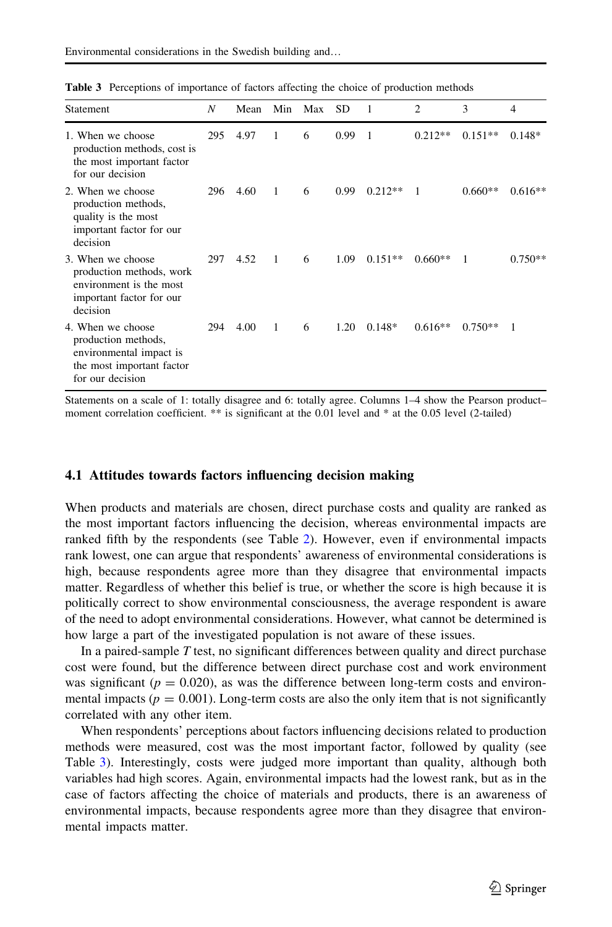| Statement                                                                                                            | N   | Mean | Min          | Max | <b>SD</b> | 1         | $\overline{2}$ | 3         | 4         |
|----------------------------------------------------------------------------------------------------------------------|-----|------|--------------|-----|-----------|-----------|----------------|-----------|-----------|
| 1. When we choose<br>production methods, cost is<br>the most important factor<br>for our decision                    | 295 | 4.97 | 1            | 6   | 0.99      | 1         | $0.212**$      | $0.151**$ | $0.148*$  |
| 2. When we choose<br>production methods,<br>quality is the most<br>important factor for our<br>decision              | 296 | 4.60 | $\mathbf{1}$ | 6   | 0.99      | $0.212**$ | 1              | $0.660**$ | $0.616**$ |
| 3. When we choose<br>production methods, work<br>environment is the most<br>important factor for our<br>decision     | 297 | 4.52 | $\mathbf{1}$ | 6   | 1.09      | $0.151**$ | $0.660**$      | 1         | $0.750**$ |
| 4. When we choose<br>production methods,<br>environmental impact is<br>the most important factor<br>for our decision | 294 | 4.00 | $\mathbf{1}$ | 6   | 1.20      | $0.148*$  | $0.616**$      | $0.750**$ | 1         |

<span id="page-8-0"></span>Table 3 Perceptions of importance of factors affecting the choice of production methods

Statements on a scale of 1: totally disagree and 6: totally agree. Columns 1–4 show the Pearson product– moment correlation coefficient. \*\* is significant at the 0.01 level and \* at the 0.05 level (2-tailed)

#### 4.1 Attitudes towards factors influencing decision making

When products and materials are chosen, direct purchase costs and quality are ranked as the most important factors influencing the decision, whereas environmental impacts are ranked fifth by the respondents (see Table [2\)](#page-7-0). However, even if environmental impacts rank lowest, one can argue that respondents' awareness of environmental considerations is high, because respondents agree more than they disagree that environmental impacts matter. Regardless of whether this belief is true, or whether the score is high because it is politically correct to show environmental consciousness, the average respondent is aware of the need to adopt environmental considerations. However, what cannot be determined is how large a part of the investigated population is not aware of these issues.

In a paired-sample  $T$  test, no significant differences between quality and direct purchase cost were found, but the difference between direct purchase cost and work environment was significant ( $p = 0.020$ ), as was the difference between long-term costs and environmental impacts ( $p = 0.001$ ). Long-term costs are also the only item that is not significantly correlated with any other item.

When respondents' perceptions about factors influencing decisions related to production methods were measured, cost was the most important factor, followed by quality (see Table 3). Interestingly, costs were judged more important than quality, although both variables had high scores. Again, environmental impacts had the lowest rank, but as in the case of factors affecting the choice of materials and products, there is an awareness of environmental impacts, because respondents agree more than they disagree that environmental impacts matter.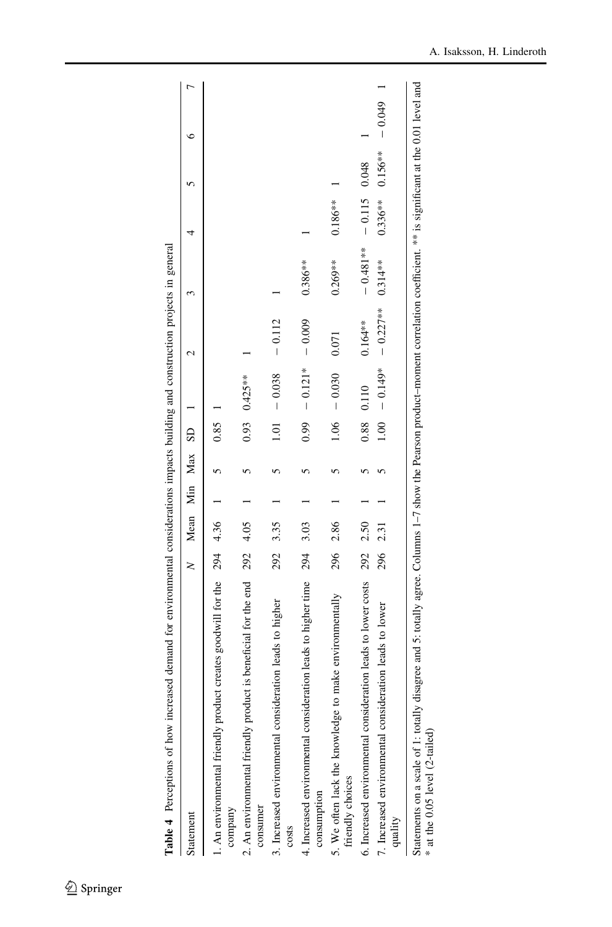<span id="page-9-0"></span>

| Table 4 Perceptions of how increased demand for environmental considerations impacts building and construction projects in general                                                                                  |     |              |  |              |           |            |            |            |           |          |  |
|---------------------------------------------------------------------------------------------------------------------------------------------------------------------------------------------------------------------|-----|--------------|--|--------------|-----------|------------|------------|------------|-----------|----------|--|
| Statement                                                                                                                                                                                                           | z   | Mean Min Max |  | $\mathbf{S}$ |           |            |            |            |           |          |  |
| 1. An environmental friendly product creates goodwill for the 294<br>company                                                                                                                                        |     | 4.36         |  | 0.85         |           |            |            |            |           |          |  |
| 2. An environmental friendly product is beneficial for the end<br>consumer                                                                                                                                          | 292 | 4.05         |  | 0.93         | $0.425**$ |            |            |            |           |          |  |
| 3. Increased environmental consideration leads to higher<br>costs                                                                                                                                                   | 292 | 3.35         |  | 1.01         | $-0.038$  | $-0.112$   |            |            |           |          |  |
| 4. Increased environmental consideration leads to higher time<br>consumption                                                                                                                                        | 294 | 3.03         |  | 0.99         | $-0.121*$ | $-0.009$   | $0.386**$  |            |           |          |  |
| make environmentally<br>5. We often lack the knowledge to<br>friendly choices                                                                                                                                       | 296 | 2.86         |  | 1.06         | $-0.030$  | 0.071      | $0.269**$  | $0.186***$ |           |          |  |
| 6. Increased environmental consideration leads to lower costs                                                                                                                                                       | 292 | 2.50         |  | 0.88         | 0.110     | $0.164**$  | $-0.481**$ | $-0.115$   | 0.048     |          |  |
| 7. Increased environmental consideration leads to lower<br>quality                                                                                                                                                  | 296 | 2.31         |  | 1.00         | $-0.149*$ | $-0.227**$ | $0.314***$ | $0.336**$  | $0.156**$ | $-0.049$ |  |
| Statements on a scale of 1: totally disagree and 5: totally agree. Columns 1-7 show the Pearson product-moment correlation coefficient. ** is significant at the 0.01 level and<br>$*$ at the 0.05 level (2-tailed) |     |              |  |              |           |            |            |            |           |          |  |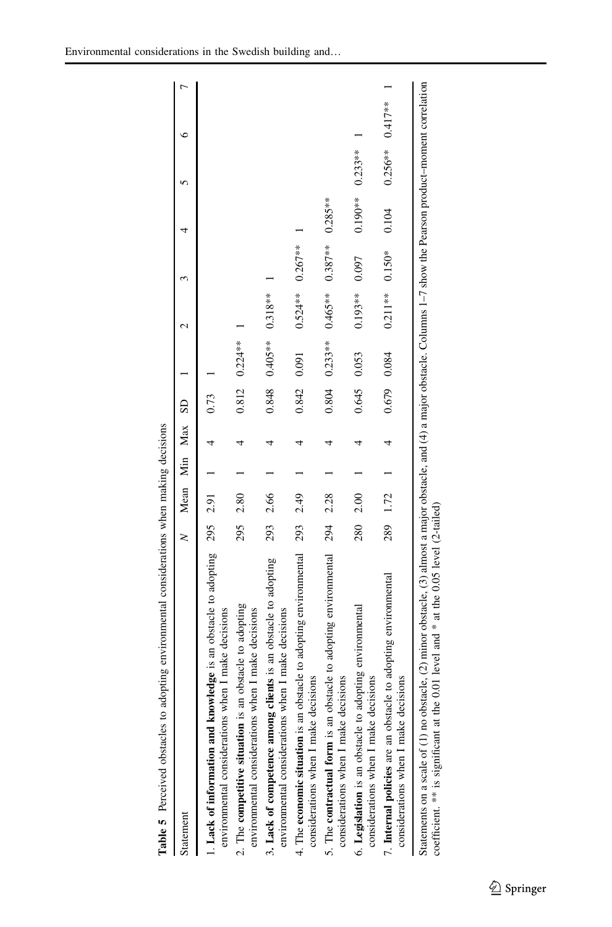<span id="page-10-0"></span>

| Table 5 Perceived obstacles to adopting environmental considerations when making decisions                                                                                                                                                                      |          |      |              |                        |           |                             |          |            |                       |   |  |
|-----------------------------------------------------------------------------------------------------------------------------------------------------------------------------------------------------------------------------------------------------------------|----------|------|--------------|------------------------|-----------|-----------------------------|----------|------------|-----------------------|---|--|
| Statement                                                                                                                                                                                                                                                       | $\geq$   |      | Mean Min Max | $\overline{\text{SD}}$ |           | ٢                           |          |            |                       | c |  |
| 1. Lack of information and knowledge is an obstacle to adopting 295 2.91<br>environmental considerations when I make decisions                                                                                                                                  |          |      |              | 0.73                   |           |                             |          |            |                       |   |  |
| 2. The competitive situation is an obstacle to adopting<br>environmental considerations when I make decisions                                                                                                                                                   | 295      | 2.80 |              | 0.812                  | $0.224**$ |                             |          |            |                       |   |  |
| 3. Lack of competence among clients is an obstacle to adopting<br>environmental considerations when I make decisions                                                                                                                                            | 293      | 2.66 |              | 0.848                  | $0.405**$ | $0.318**$                   |          |            |                       |   |  |
| 4. The economic situation is an obstacle to adopting environmental<br>considerations when I make decisions                                                                                                                                                      | 293      | 2.49 |              | 0.842                  | 0.091     | $0.524**$ $0.267**$         |          |            |                       |   |  |
| 5. The contractual form is an obstacle to adopting environmental<br>considerations when I make decisions                                                                                                                                                        | 294 2.28 |      |              | 0.804                  | $0.233**$ | $0.465***$ 0.387*** 0.285** |          |            |                       |   |  |
| 6. Legislation is an obstacle to adopting environmental<br>considerations when I make decisions                                                                                                                                                                 | 280      | 2.00 |              | 0.645                  | 0.053     | $0.193***$                  | 0.097    | $0.190***$ | $0.233**$             |   |  |
| 7. Internal policies are an obstacle to adopting environmental<br>considerations when I make decisions                                                                                                                                                          | 289      | 1.72 |              | 0.679                  | 0.084     | $0.211**$                   | $0.150*$ | 0.104      | $0.256***$ $0.417***$ |   |  |
| Statements on a scale of (1) no obstacle, (2) minor obstacle, (3) almost a major obstacle, anajor obstacle. Columns 1-7 show the Pearson product-moment correlation<br>0.01 level and $*$ at the 0.05 level (2-tailed)<br>coefficient. ** is significant at the |          |      |              |                        |           |                             |          |            |                       |   |  |

Table 5 Perceived obstacles to adopting environmental considerations when making decisions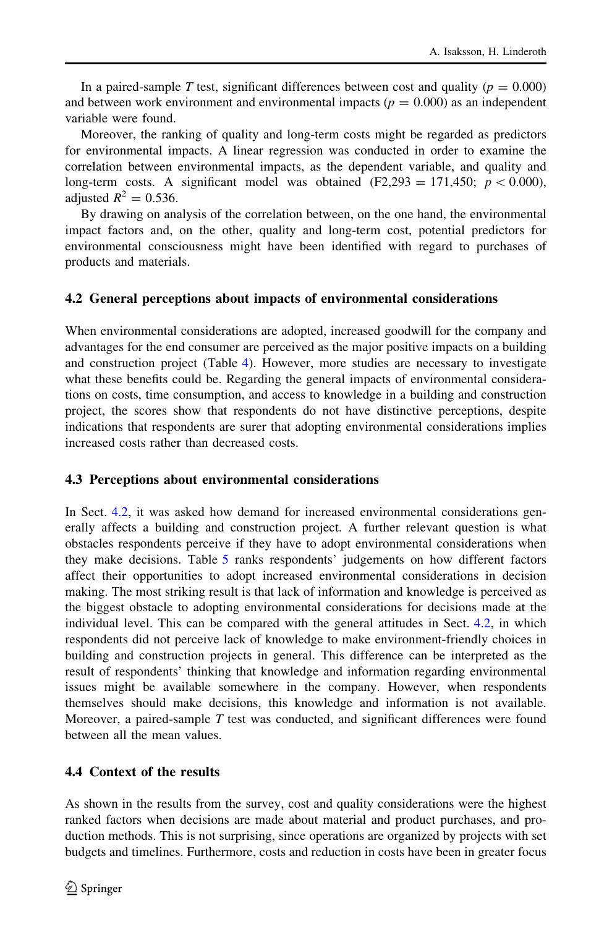In a paired-sample T test, significant differences between cost and quality ( $p = 0.000$ ) and between work environment and environmental impacts ( $p = 0.000$ ) as an independent variable were found.

Moreover, the ranking of quality and long-term costs might be regarded as predictors for environmental impacts. A linear regression was conducted in order to examine the correlation between environmental impacts, as the dependent variable, and quality and long-term costs. A significant model was obtained  $(F2,293 = 171,450; p < 0.000)$ , adjusted  $R^2 = 0.536$ .

By drawing on analysis of the correlation between, on the one hand, the environmental impact factors and, on the other, quality and long-term cost, potential predictors for environmental consciousness might have been identified with regard to purchases of products and materials.

#### 4.2 General perceptions about impacts of environmental considerations

When environmental considerations are adopted, increased goodwill for the company and advantages for the end consumer are perceived as the major positive impacts on a building and construction project (Table [4\)](#page-9-0). However, more studies are necessary to investigate what these benefits could be. Regarding the general impacts of environmental considerations on costs, time consumption, and access to knowledge in a building and construction project, the scores show that respondents do not have distinctive perceptions, despite indications that respondents are surer that adopting environmental considerations implies increased costs rather than decreased costs.

#### 4.3 Perceptions about environmental considerations

In Sect. 4.2, it was asked how demand for increased environmental considerations generally affects a building and construction project. A further relevant question is what obstacles respondents perceive if they have to adopt environmental considerations when they make decisions. Table [5](#page-10-0) ranks respondents' judgements on how different factors affect their opportunities to adopt increased environmental considerations in decision making. The most striking result is that lack of information and knowledge is perceived as the biggest obstacle to adopting environmental considerations for decisions made at the individual level. This can be compared with the general attitudes in Sect. 4.2, in which respondents did not perceive lack of knowledge to make environment-friendly choices in building and construction projects in general. This difference can be interpreted as the result of respondents' thinking that knowledge and information regarding environmental issues might be available somewhere in the company. However, when respondents themselves should make decisions, this knowledge and information is not available. Moreover, a paired-sample  $T$  test was conducted, and significant differences were found between all the mean values.

## 4.4 Context of the results

As shown in the results from the survey, cost and quality considerations were the highest ranked factors when decisions are made about material and product purchases, and production methods. This is not surprising, since operations are organized by projects with set budgets and timelines. Furthermore, costs and reduction in costs have been in greater focus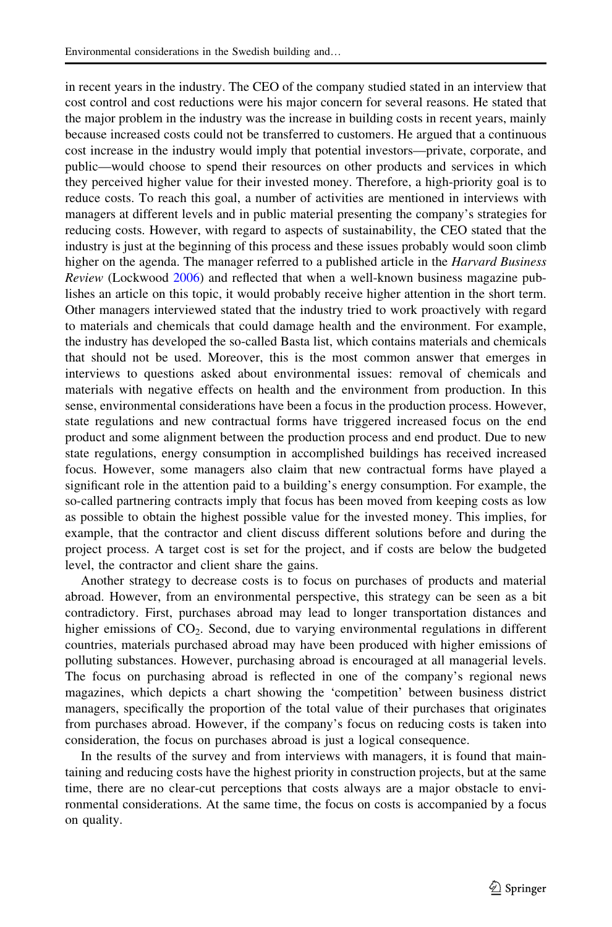in recent years in the industry. The CEO of the company studied stated in an interview that cost control and cost reductions were his major concern for several reasons. He stated that the major problem in the industry was the increase in building costs in recent years, mainly because increased costs could not be transferred to customers. He argued that a continuous cost increase in the industry would imply that potential investors—private, corporate, and public—would choose to spend their resources on other products and services in which they perceived higher value for their invested money. Therefore, a high-priority goal is to reduce costs. To reach this goal, a number of activities are mentioned in interviews with managers at different levels and in public material presenting the company's strategies for reducing costs. However, with regard to aspects of sustainability, the CEO stated that the industry is just at the beginning of this process and these issues probably would soon climb higher on the agenda. The manager referred to a published article in the *Harvard Business* Review (Lockwood [2006](#page-16-0)) and reflected that when a well-known business magazine publishes an article on this topic, it would probably receive higher attention in the short term. Other managers interviewed stated that the industry tried to work proactively with regard to materials and chemicals that could damage health and the environment. For example, the industry has developed the so-called Basta list, which contains materials and chemicals that should not be used. Moreover, this is the most common answer that emerges in interviews to questions asked about environmental issues: removal of chemicals and materials with negative effects on health and the environment from production. In this sense, environmental considerations have been a focus in the production process. However, state regulations and new contractual forms have triggered increased focus on the end product and some alignment between the production process and end product. Due to new state regulations, energy consumption in accomplished buildings has received increased focus. However, some managers also claim that new contractual forms have played a significant role in the attention paid to a building's energy consumption. For example, the so-called partnering contracts imply that focus has been moved from keeping costs as low as possible to obtain the highest possible value for the invested money. This implies, for example, that the contractor and client discuss different solutions before and during the project process. A target cost is set for the project, and if costs are below the budgeted level, the contractor and client share the gains.

Another strategy to decrease costs is to focus on purchases of products and material abroad. However, from an environmental perspective, this strategy can be seen as a bit contradictory. First, purchases abroad may lead to longer transportation distances and higher emissions of  $CO<sub>2</sub>$ . Second, due to varying environmental regulations in different countries, materials purchased abroad may have been produced with higher emissions of polluting substances. However, purchasing abroad is encouraged at all managerial levels. The focus on purchasing abroad is reflected in one of the company's regional news magazines, which depicts a chart showing the 'competition' between business district managers, specifically the proportion of the total value of their purchases that originates from purchases abroad. However, if the company's focus on reducing costs is taken into consideration, the focus on purchases abroad is just a logical consequence.

In the results of the survey and from interviews with managers, it is found that maintaining and reducing costs have the highest priority in construction projects, but at the same time, there are no clear-cut perceptions that costs always are a major obstacle to environmental considerations. At the same time, the focus on costs is accompanied by a focus on quality.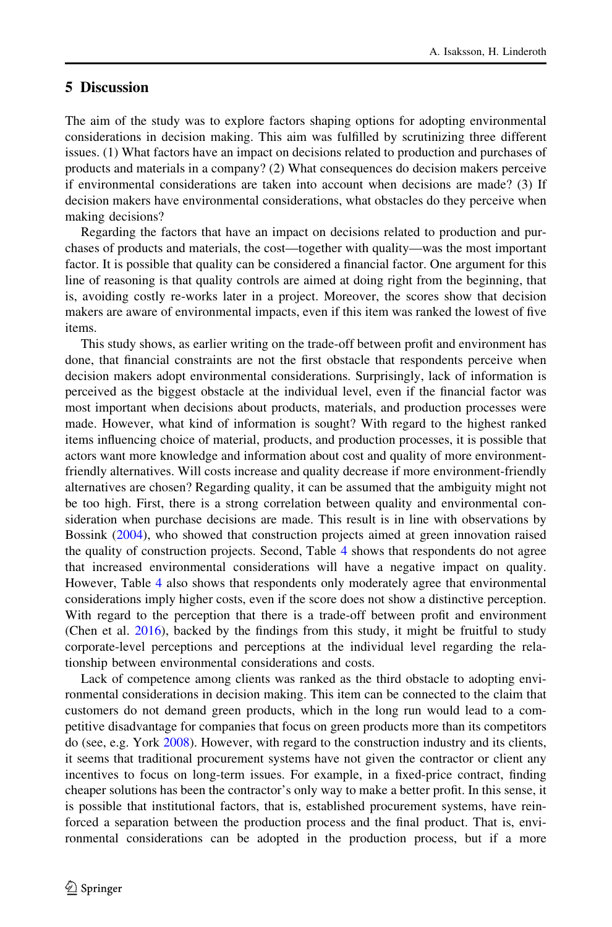# <span id="page-13-0"></span>5 Discussion

The aim of the study was to explore factors shaping options for adopting environmental considerations in decision making. This aim was fulfilled by scrutinizing three different issues. (1) What factors have an impact on decisions related to production and purchases of products and materials in a company? (2) What consequences do decision makers perceive if environmental considerations are taken into account when decisions are made? (3) If decision makers have environmental considerations, what obstacles do they perceive when making decisions?

Regarding the factors that have an impact on decisions related to production and purchases of products and materials, the cost—together with quality—was the most important factor. It is possible that quality can be considered a financial factor. One argument for this line of reasoning is that quality controls are aimed at doing right from the beginning, that is, avoiding costly re-works later in a project. Moreover, the scores show that decision makers are aware of environmental impacts, even if this item was ranked the lowest of five items.

This study shows, as earlier writing on the trade-off between profit and environment has done, that financial constraints are not the first obstacle that respondents perceive when decision makers adopt environmental considerations. Surprisingly, lack of information is perceived as the biggest obstacle at the individual level, even if the financial factor was most important when decisions about products, materials, and production processes were made. However, what kind of information is sought? With regard to the highest ranked items influencing choice of material, products, and production processes, it is possible that actors want more knowledge and information about cost and quality of more environmentfriendly alternatives. Will costs increase and quality decrease if more environment-friendly alternatives are chosen? Regarding quality, it can be assumed that the ambiguity might not be too high. First, there is a strong correlation between quality and environmental consideration when purchase decisions are made. This result is in line with observations by Bossink ([2004\)](#page-15-0), who showed that construction projects aimed at green innovation raised the quality of construction projects. Second, Table [4](#page-9-0) shows that respondents do not agree that increased environmental considerations will have a negative impact on quality. However, Table [4](#page-9-0) also shows that respondents only moderately agree that environmental considerations imply higher costs, even if the score does not show a distinctive perception. With regard to the perception that there is a trade-off between profit and environment (Chen et al. [2016\)](#page-15-0), backed by the findings from this study, it might be fruitful to study corporate-level perceptions and perceptions at the individual level regarding the relationship between environmental considerations and costs.

Lack of competence among clients was ranked as the third obstacle to adopting environmental considerations in decision making. This item can be connected to the claim that customers do not demand green products, which in the long run would lead to a competitive disadvantage for companies that focus on green products more than its competitors do (see, e.g. York [2008](#page-17-0)). However, with regard to the construction industry and its clients, it seems that traditional procurement systems have not given the contractor or client any incentives to focus on long-term issues. For example, in a fixed-price contract, finding cheaper solutions has been the contractor's only way to make a better profit. In this sense, it is possible that institutional factors, that is, established procurement systems, have reinforced a separation between the production process and the final product. That is, environmental considerations can be adopted in the production process, but if a more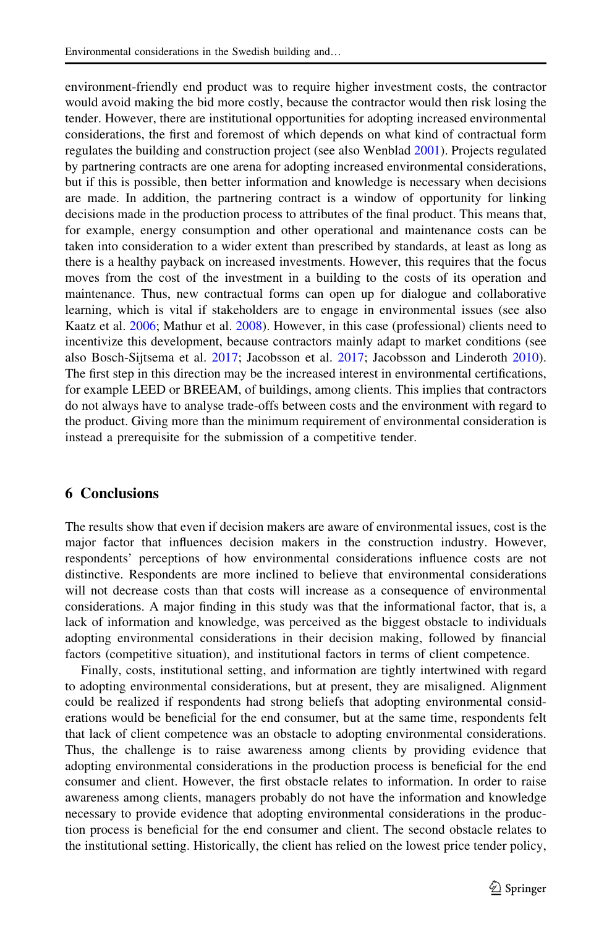<span id="page-14-0"></span>environment-friendly end product was to require higher investment costs, the contractor would avoid making the bid more costly, because the contractor would then risk losing the tender. However, there are institutional opportunities for adopting increased environmental considerations, the first and foremost of which depends on what kind of contractual form regulates the building and construction project (see also Wenblad [2001](#page-17-0)). Projects regulated by partnering contracts are one arena for adopting increased environmental considerations, but if this is possible, then better information and knowledge is necessary when decisions are made. In addition, the partnering contract is a window of opportunity for linking decisions made in the production process to attributes of the final product. This means that, for example, energy consumption and other operational and maintenance costs can be taken into consideration to a wider extent than prescribed by standards, at least as long as there is a healthy payback on increased investments. However, this requires that the focus moves from the cost of the investment in a building to the costs of its operation and maintenance. Thus, new contractual forms can open up for dialogue and collaborative learning, which is vital if stakeholders are to engage in environmental issues (see also Kaatz et al. [2006](#page-16-0); Mathur et al. [2008](#page-16-0)). However, in this case (professional) clients need to incentivize this development, because contractors mainly adapt to market conditions (see also Bosch-Sijtsema et al. [2017](#page-15-0); Jacobsson et al. [2017;](#page-16-0) Jacobsson and Linderoth [2010](#page-16-0)). The first step in this direction may be the increased interest in environmental certifications, for example LEED or BREEAM, of buildings, among clients. This implies that contractors do not always have to analyse trade-offs between costs and the environment with regard to the product. Giving more than the minimum requirement of environmental consideration is instead a prerequisite for the submission of a competitive tender.

# 6 Conclusions

The results show that even if decision makers are aware of environmental issues, cost is the major factor that influences decision makers in the construction industry. However, respondents' perceptions of how environmental considerations influence costs are not distinctive. Respondents are more inclined to believe that environmental considerations will not decrease costs than that costs will increase as a consequence of environmental considerations. A major finding in this study was that the informational factor, that is, a lack of information and knowledge, was perceived as the biggest obstacle to individuals adopting environmental considerations in their decision making, followed by financial factors (competitive situation), and institutional factors in terms of client competence.

Finally, costs, institutional setting, and information are tightly intertwined with regard to adopting environmental considerations, but at present, they are misaligned. Alignment could be realized if respondents had strong beliefs that adopting environmental considerations would be beneficial for the end consumer, but at the same time, respondents felt that lack of client competence was an obstacle to adopting environmental considerations. Thus, the challenge is to raise awareness among clients by providing evidence that adopting environmental considerations in the production process is beneficial for the end consumer and client. However, the first obstacle relates to information. In order to raise awareness among clients, managers probably do not have the information and knowledge necessary to provide evidence that adopting environmental considerations in the production process is beneficial for the end consumer and client. The second obstacle relates to the institutional setting. Historically, the client has relied on the lowest price tender policy,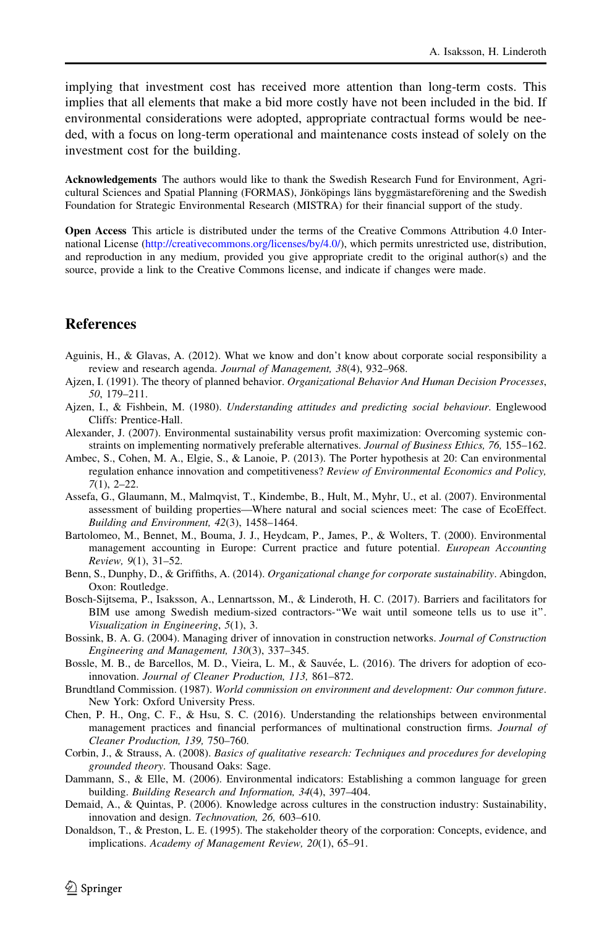<span id="page-15-0"></span>implying that investment cost has received more attention than long-term costs. This implies that all elements that make a bid more costly have not been included in the bid. If environmental considerations were adopted, appropriate contractual forms would be needed, with a focus on long-term operational and maintenance costs instead of solely on the investment cost for the building.

Acknowledgements The authors would like to thank the Swedish Research Fund for Environment, Agricultural Sciences and Spatial Planning (FORMAS), Jönköpings läns byggmästareförening and the Swedish Foundation for Strategic Environmental Research (MISTRA) for their financial support of the study.

Open Access This article is distributed under the terms of the Creative Commons Attribution 4.0 International License [\(http://creativecommons.org/licenses/by/4.0/\)](http://creativecommons.org/licenses/by/4.0/), which permits unrestricted use, distribution, and reproduction in any medium, provided you give appropriate credit to the original author(s) and the source, provide a link to the Creative Commons license, and indicate if changes were made.

### **References**

- Aguinis, H., & Glavas, A. (2012). What we know and don't know about corporate social responsibility a review and research agenda. Journal of Management, 38(4), 932–968.
- Ajzen, I. (1991). The theory of planned behavior. Organizational Behavior And Human Decision Processes, 50, 179–211.
- Ajzen, I., & Fishbein, M. (1980). Understanding attitudes and predicting social behaviour. Englewood Cliffs: Prentice-Hall.
- Alexander, J. (2007). Environmental sustainability versus profit maximization: Overcoming systemic constraints on implementing normatively preferable alternatives. Journal of Business Ethics, 76, 155–162.
- Ambec, S., Cohen, M. A., Elgie, S., & Lanoie, P. (2013). The Porter hypothesis at 20: Can environmental regulation enhance innovation and competitiveness? Review of Environmental Economics and Policy, 7(1), 2–22.
- Assefa, G., Glaumann, M., Malmqvist, T., Kindembe, B., Hult, M., Myhr, U., et al. (2007). Environmental assessment of building properties—Where natural and social sciences meet: The case of EcoEffect. Building and Environment, 42(3), 1458–1464.
- Bartolomeo, M., Bennet, M., Bouma, J. J., Heydcam, P., James, P., & Wolters, T. (2000). Environmental management accounting in Europe: Current practice and future potential. European Accounting Review, 9(1), 31–52.
- Benn, S., Dunphy, D., & Griffiths, A. (2014). Organizational change for corporate sustainability. Abingdon, Oxon: Routledge.
- Bosch-Sijtsema, P., Isaksson, A., Lennartsson, M., & Linderoth, H. C. (2017). Barriers and facilitators for BIM use among Swedish medium-sized contractors-''We wait until someone tells us to use it''. Visualization in Engineering, 5(1), 3.
- Bossink, B. A. G. (2004). Managing driver of innovation in construction networks. Journal of Construction Engineering and Management, 130(3), 337–345.
- Bossle, M. B., de Barcellos, M. D., Vieira, L. M., & Sauvée, L. (2016). The drivers for adoption of ecoinnovation. Journal of Cleaner Production, 113, 861–872.
- Brundtland Commission. (1987). World commission on environment and development: Our common future. New York: Oxford University Press.
- Chen, P. H., Ong, C. F., & Hsu, S. C. (2016). Understanding the relationships between environmental management practices and financial performances of multinational construction firms. Journal of Cleaner Production, 139, 750–760.
- Corbin, J., & Strauss, A. (2008). Basics of qualitative research: Techniques and procedures for developing grounded theory. Thousand Oaks: Sage.
- Dammann, S., & Elle, M. (2006). Environmental indicators: Establishing a common language for green building. Building Research and Information, 34(4), 397–404.
- Demaid, A., & Quintas, P. (2006). Knowledge across cultures in the construction industry: Sustainability, innovation and design. Technovation, 26, 603–610.
- Donaldson, T., & Preston, L. E. (1995). The stakeholder theory of the corporation: Concepts, evidence, and implications. Academy of Management Review, 20(1), 65–91.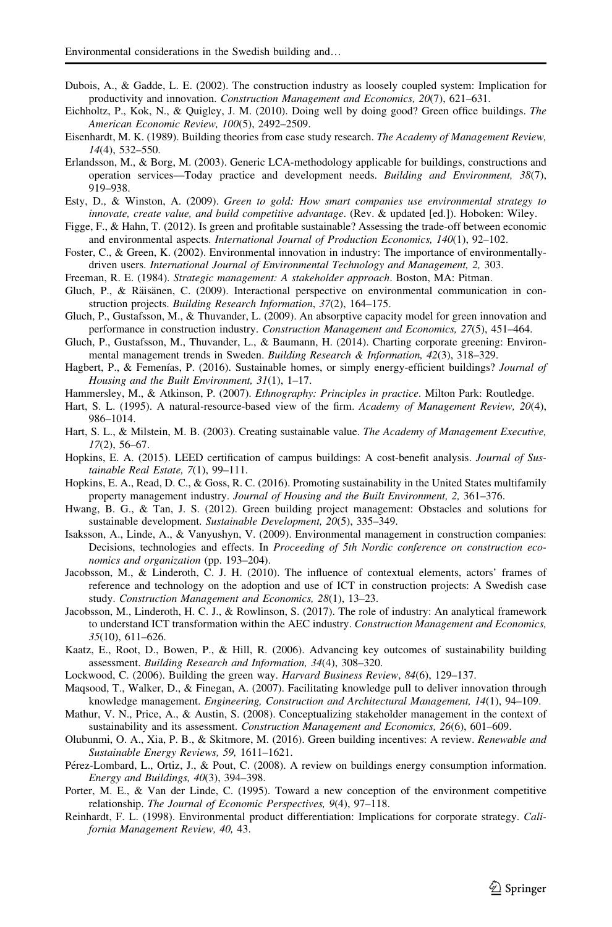- <span id="page-16-0"></span>Dubois, A., & Gadde, L. E. (2002). The construction industry as loosely coupled system: Implication for productivity and innovation. Construction Management and Economics, 20(7), 621–631.
- Eichholtz, P., Kok, N., & Quigley, J. M. (2010). Doing well by doing good? Green office buildings. The American Economic Review, 100(5), 2492–2509.
- Eisenhardt, M. K. (1989). Building theories from case study research. The Academy of Management Review, 14(4), 532–550.
- Erlandsson, M., & Borg, M. (2003). Generic LCA-methodology applicable for buildings, constructions and operation services—Today practice and development needs. Building and Environment, 38(7), 919–938.
- Esty, D., & Winston, A. (2009). Green to gold: How smart companies use environmental strategy to innovate, create value, and build competitive advantage. (Rev. & updated [ed.]). Hoboken: Wiley.
- Figge, F., & Hahn, T. (2012). Is green and profitable sustainable? Assessing the trade-off between economic and environmental aspects. International Journal of Production Economics, 140(1), 92–102.
- Foster, C., & Green, K. (2002). Environmental innovation in industry: The importance of environmentallydriven users. International Journal of Environmental Technology and Management, 2, 303.
- Freeman, R. E. (1984). Strategic management: A stakeholder approach. Boston, MA: Pitman.
- Gluch, P., & Räisänen, C. (2009). Interactional perspective on environmental communication in construction projects. Building Research Information, 37(2), 164–175.
- Gluch, P., Gustafsson, M., & Thuvander, L. (2009). An absorptive capacity model for green innovation and performance in construction industry. Construction Management and Economics, 27(5), 451–464.
- Gluch, P., Gustafsson, M., Thuvander, L., & Baumann, H. (2014). Charting corporate greening: Environmental management trends in Sweden. Building Research & Information, 42(3), 318–329.
- Hagbert, P., & Femenías, P. (2016). Sustainable homes, or simply energy-efficient buildings? Journal of Housing and the Built Environment, 31(1), 1–17.
- Hammersley, M., & Atkinson, P. (2007). Ethnography: Principles in practice. Milton Park: Routledge.
- Hart, S. L. (1995). A natural-resource-based view of the firm. Academy of Management Review, 20(4), 986–1014.
- Hart, S. L., & Milstein, M. B. (2003). Creating sustainable value. The Academy of Management Executive, 17(2), 56–67.
- Hopkins, E. A. (2015). LEED certification of campus buildings: A cost-benefit analysis. Journal of Sustainable Real Estate, 7(1), 99–111.
- Hopkins, E. A., Read, D. C., & Goss, R. C. (2016). Promoting sustainability in the United States multifamily property management industry. Journal of Housing and the Built Environment, 2, 361–376.
- Hwang, B. G., & Tan, J. S. (2012). Green building project management: Obstacles and solutions for sustainable development. Sustainable Development, 20(5), 335–349.
- Isaksson, A., Linde, A., & Vanyushyn, V. (2009). Environmental management in construction companies: Decisions, technologies and effects. In Proceeding of 5th Nordic conference on construction economics and organization (pp. 193–204).
- Jacobsson, M., & Linderoth, C. J. H. (2010). The influence of contextual elements, actors' frames of reference and technology on the adoption and use of ICT in construction projects: A Swedish case study. Construction Management and Economics, 28(1), 13–23.
- Jacobsson, M., Linderoth, H. C. J., & Rowlinson, S. (2017). The role of industry: An analytical framework to understand ICT transformation within the AEC industry. Construction Management and Economics, 35(10), 611–626.
- Kaatz, E., Root, D., Bowen, P., & Hill, R. (2006). Advancing key outcomes of sustainability building assessment. Building Research and Information, 34(4), 308–320.
- Lockwood, C. (2006). Building the green way. Harvard Business Review, 84(6), 129–137.
- Maqsood, T., Walker, D., & Finegan, A. (2007). Facilitating knowledge pull to deliver innovation through knowledge management. Engineering, Construction and Architectural Management, 14(1), 94–109.
- Mathur, V. N., Price, A., & Austin, S. (2008). Conceptualizing stakeholder management in the context of sustainability and its assessment. Construction Management and Economics, 26(6), 601–609.
- Olubunmi, O. A., Xia, P. B., & Skitmore, M. (2016). Green building incentives: A review. Renewable and Sustainable Energy Reviews, 59, 1611–1621.
- Pérez-Lombard, L., Ortiz, J., & Pout, C. (2008). A review on buildings energy consumption information. Energy and Buildings, 40(3), 394–398.
- Porter, M. E., & Van der Linde, C. (1995). Toward a new conception of the environment competitive relationship. The Journal of Economic Perspectives, 9(4), 97–118.
- Reinhardt, F. L. (1998). Environmental product differentiation: Implications for corporate strategy. California Management Review, 40, 43.